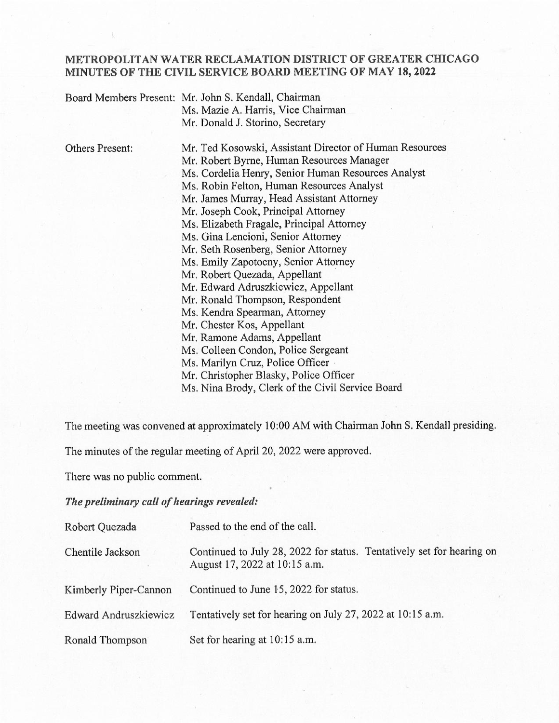## METROPOLITAN WATER RECLAMATION DISTRICT OF GREATER CHICAGO MINUTES OF THE CIVIL SERVICE BOARD MEETING OF MAY 18, 2022

| Board Members Present: Mr. John S. Kendall, Chairman |
|------------------------------------------------------|
| Ms. Mazie A. Harris, Vice Chairman                   |
| Mr. Donald J. Storino, Secretary                     |

Others Present: Mr. Ted Kosowski, Assistant Director of Human Resources Mr. Robert Byrne, Human Resources Manager Ms. Cordelia Henry; Senior Human Resources Analyst Ms. Robin Felton, Human Resources Analyst Mr. James Murray, Head Assistant Attorney Mr. Joseph Cook, Principal Attorney Ms. Elizabeth Fragale, Principal Attorney Ms. Gina Lencioni, Senior Attorney Mr. Seth Rosenberg, Senior Attorney Ms. Emily Zapotocny, Senior Attorney Mr. Robert Quezada, Appellant Mr. Edward Adruszkiewicz, Appellant Mr. Ronald Thompson, Respondent Ms. Kendra Spearman, Attorney Mr. Chester Kos, Appellant Mr. Ramone Adams, Appellant Ms. Colleen Condon, Police Sergeant Ms. Marilyn Cruz, Police Officer Mr. Christopher Blasky, Police Officer

Ms. Nina Brody, Clerk of the Civil Service Board

The meeting was convened at approximately 10:00 AM with Chairman John S. Kendall presiding.

The minutes of the regular meeting of Apri120, 2022 were approved.

There was no public comment.

The preliminary call of hearings revealed:

| Robert Quezada        | Passed to the end of the call.                                                                         |
|-----------------------|--------------------------------------------------------------------------------------------------------|
| Chentile Jackson      | Continued to July 28, 2022 for status. Tentatively set for hearing on<br>August 17, 2022 at 10:15 a.m. |
| Kimberly Piper-Cannon | Continued to June 15, 2022 for status.                                                                 |
| Edward Andruszkiewicz | Tentatively set for hearing on July 27, 2022 at 10:15 a.m.                                             |
| Ronald Thompson       | Set for hearing at 10:15 a.m.                                                                          |